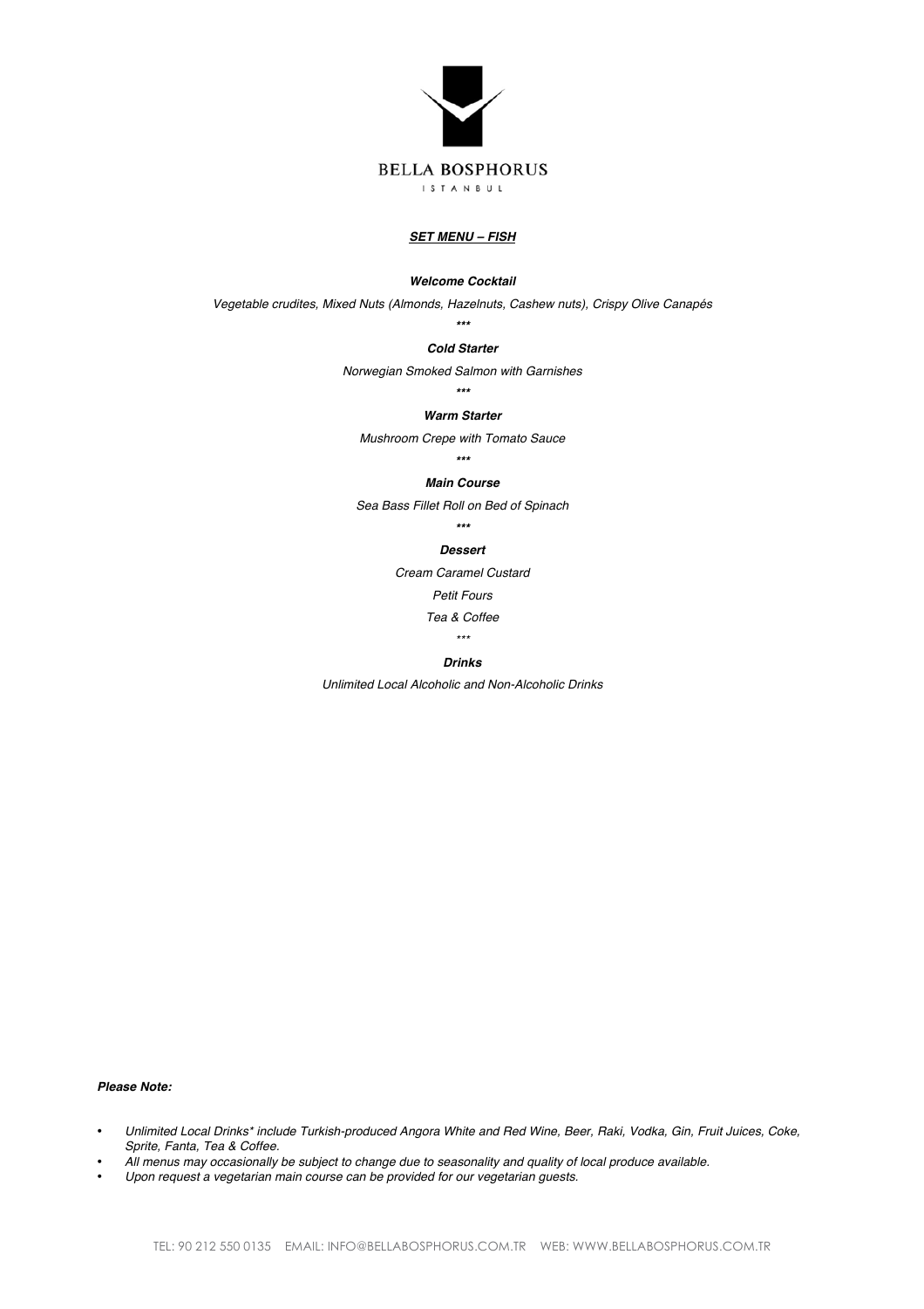

### *SET MENU – FISH*

#### *Welcome Cocktail*

*Vegetable crudites, Mixed Nuts (Almonds, Hazelnuts, Cashew nuts), Crispy Olive Canapés*

# *\*\*\* Cold Starter*

*Norwegian Smoked Salmon with Garnishes*

*\*\*\**

#### *Warm Starter*

*Mushroom Crepe with Tomato Sauce*

# *\*\*\**

### *Main Course*

*Sea Bass Fillet Roll on Bed of Spinach*

*\*\*\**

### *Dessert*

*Cream Caramel Custard*

*Petit Fours*

*Tea & Coffee*

*\*\*\**

## *Drinks*

*Unlimited Local Alcoholic and Non-Alcoholic Drinks*

### *Please Note:*

- *Unlimited Local Drinks\* include Turkish-produced Angora White and Red Wine, Beer, Raki, Vodka, Gin, Fruit Juices, Coke, Sprite, Fanta, Tea & Coffee.*
- *All menus may occasionally be subject to change due to seasonality and quality of local produce available.*
- *Upon request a vegetarian main course can be provided for our vegetarian guests.*